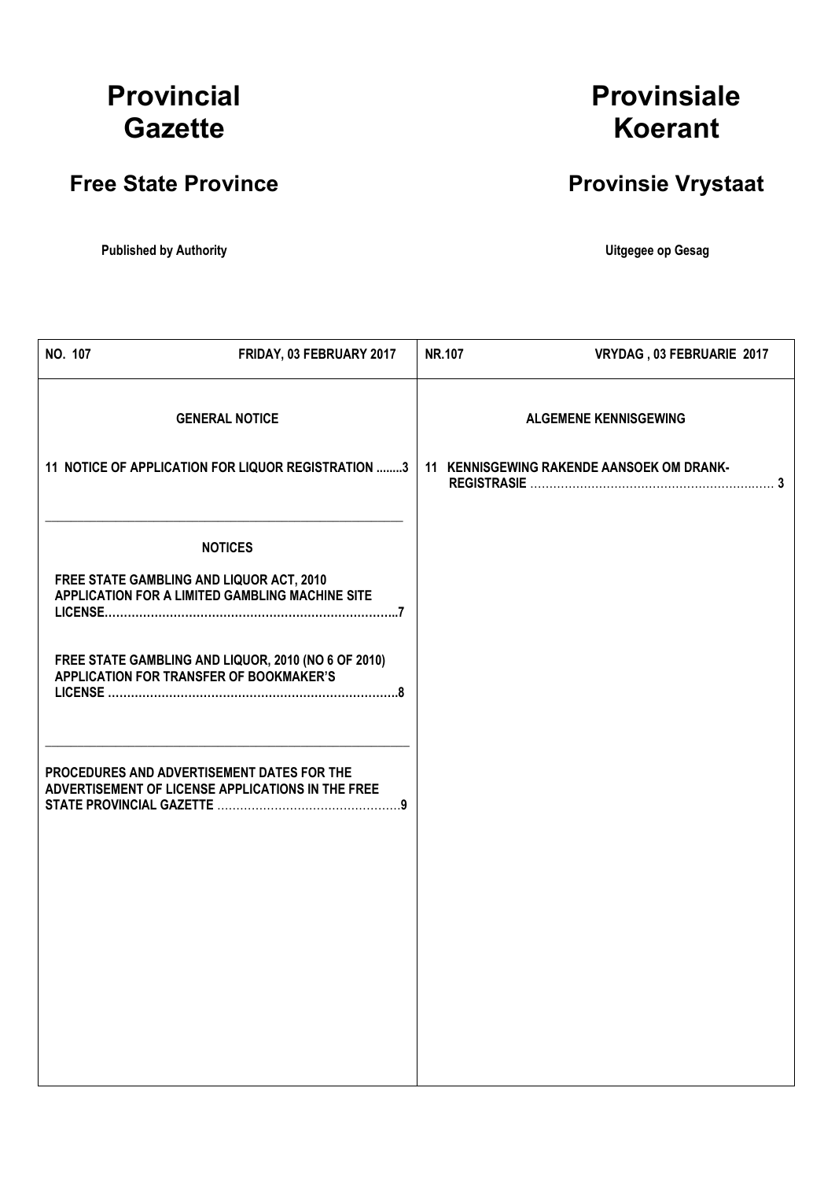# **Provincial Gazette**

# **Free State Province**

**Published by Authority Contract and Server Authority Contract and Server Authority Contract and Server Authority Contract and Server Authority Contract and Server Authority Contract and Server Authority Contract and Serve** 

**Provinsiale Koerant**

# **Provinsie Vrystaat**

 $\overline{\mathsf{I}}$ 

| NO. 107 | FRIDAY, 03 FEBRUARY 2017                                                                        | NR.107 | VRYDAG, 03 FEBRUARIE 2017                 |
|---------|-------------------------------------------------------------------------------------------------|--------|-------------------------------------------|
|         | <b>GENERAL NOTICE</b>                                                                           |        | <b>ALGEMENE KENNISGEWING</b>              |
|         | 11 NOTICE OF APPLICATION FOR LIQUOR REGISTRATION 3                                              |        | 11 KENNISGEWING RAKENDE AANSOEK OM DRANK- |
|         | <b>NOTICES</b>                                                                                  |        |                                           |
|         | FREE STATE GAMBLING AND LIQUOR ACT, 2010<br>APPLICATION FOR A LIMITED GAMBLING MACHINE SITE     |        |                                           |
|         | FREE STATE GAMBLING AND LIQUOR, 2010 (NO 6 OF 2010)<br>APPLICATION FOR TRANSFER OF BOOKMAKER'S  |        |                                           |
|         | PROCEDURES AND ADVERTISEMENT DATES FOR THE<br>ADVERTISEMENT OF LICENSE APPLICATIONS IN THE FREE |        |                                           |
|         |                                                                                                 |        |                                           |
|         |                                                                                                 |        |                                           |
|         |                                                                                                 |        |                                           |
|         |                                                                                                 |        |                                           |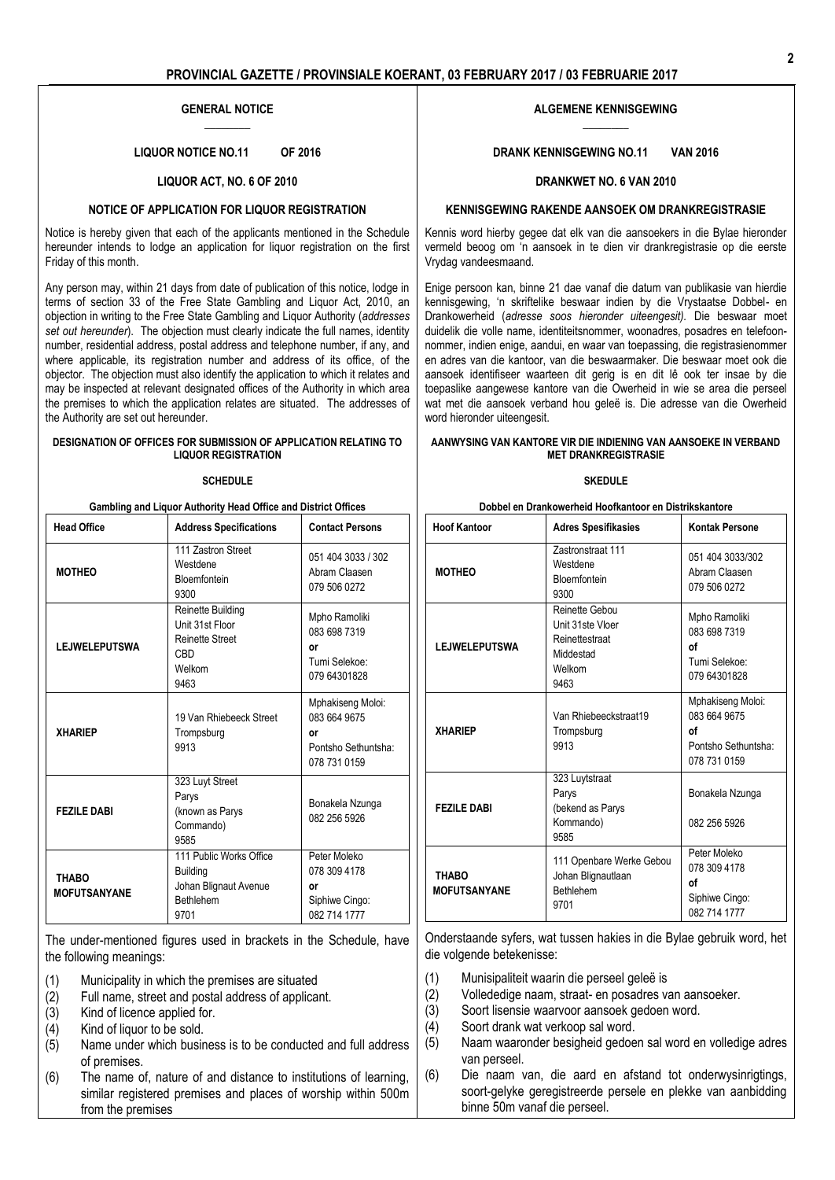### **GENERAL NOTICE**  $\overline{\phantom{a}}$

**LIQUOR NOTICE NO.11 OF 2016**

### **LIQUOR ACT, NO. 6 OF 2010**

### **NOTICE OF APPLICATION FOR LIQUOR REGISTRATION**

Notice is hereby given that each of the applicants mentioned in the Schedule hereunder intends to lodge an application for liquor registration on the first Friday of this month.

Any person may, within 21 days from date of publication of this notice, lodge in terms of section 33 of the Free State Gambling and Liquor Act, 2010, an objection in writing to the Free State Gambling and Liquor Authority (*addresses set out hereunder*). The objection must clearly indicate the full names, identity number, residential address, postal address and telephone number, if any, and where applicable, its registration number and address of its office, of the objector. The objection must also identify the application to which it relates and may be inspected at relevant designated offices of the Authority in which area the premises to which the application relates are situated. The addresses of the Authority are set out hereunder.

#### **DESIGNATION OF OFFICES FOR SUBMISSION OF APPLICATION RELATING TO LIQUOR REGISTRATION**

#### **SCHEDULE**

| Gambling and Liquor Authority Head Office and District Offices |                                                                                                             |                                                                                |
|----------------------------------------------------------------|-------------------------------------------------------------------------------------------------------------|--------------------------------------------------------------------------------|
| <b>Head Office</b>                                             | <b>Address Specifications</b>                                                                               | <b>Contact Persons</b>                                                         |
| <b>MOTHEO</b>                                                  | 111 Zastron Street<br>Westdene<br><b>Bloemfontein</b><br>9300                                               | 051 404 3033 / 302<br>Abram Claasen<br>079 506 0272                            |
| <b>LEJWELEPUTSWA</b>                                           | <b>Reinette Building</b><br>Unit 31st Floor<br><b>Reinette Street</b><br>C <sub>B</sub> D<br>Welkom<br>9463 | Mpho Ramoliki<br>083 698 7319<br>or<br>Tumi Selekoe:<br>079 64301828           |
| <b>XHARIEP</b>                                                 | 19 Van Rhiebeeck Street<br>Trompsburg<br>9913                                                               | Mphakiseng Moloi:<br>083 664 9675<br>٥r<br>Pontsho Sethuntsha:<br>078 731 0159 |
| <b>FEZILE DABI</b>                                             | 323 Luyt Street<br>Parys<br>(known as Parys<br>Commando)<br>9585                                            | Bonakela Nzunga<br>082 256 5926                                                |
| <b>THABO</b><br><b>MOFUTSANYANE</b>                            | 111 Public Works Office<br><b>Building</b><br>Johan Blignaut Avenue<br>Bethlehem<br>9701                    | Peter Moleko<br>078 309 4178<br>or<br>Siphiwe Cingo:<br>082 714 1777           |

The under-mentioned figures used in brackets in the Schedule, have the following meanings:

- (1) Municipality in which the premises are situated
- Full name, street and postal address of applicant.
- (3) Kind of licence applied for.
- (4) Kind of liquor to be sold.
- (5) Name under which business is to be conducted and full address of premises.
- (6) The name of, nature of and distance to institutions of learning, similar registered premises and places of worship within 500m from the premises

#### **ALGEMENE KENNISGEWING**  $\overline{\phantom{a}}$

**DRANK KENNISGEWING NO.11 VAN 2016**

### **DRANKWET NO. 6 VAN 2010**

### **KENNISGEWING RAKENDE AANSOEK OM DRANKREGISTRASIE**

Kennis word hierby gegee dat elk van die aansoekers in die Bylae hieronder vermeld beoog om 'n aansoek in te dien vir drankregistrasie op die eerste Vrydag vandeesmaand.

Enige persoon kan, binne 21 dae vanaf die datum van publikasie van hierdie kennisgewing, 'n skriftelike beswaar indien by die Vrystaatse Dobbel- en Drankowerheid (*adresse soos hieronder uiteengesit).* Die beswaar moet duidelik die volle name, identiteitsnommer, woonadres, posadres en telefoonnommer, indien enige, aandui, en waar van toepassing, die registrasienommer en adres van die kantoor, van die beswaarmaker. Die beswaar moet ook die aansoek identifiseer waarteen dit gerig is en dit lê ook ter insae by die toepaslike aangewese kantore van die Owerheid in wie se area die perseel wat met die aansoek verband hou geleë is. Die adresse van die Owerheid word hieronder uiteengesit.

### **AANWYSING VAN KANTORE VIR DIE INDIENING VAN AANSOEKE IN VERBAND MET DRANKREGISTRASIE**

#### **SKEDULE**

| Dobbel en Drankowerheid Hoofkantoor en Distrikskantore |  |
|--------------------------------------------------------|--|
|--------------------------------------------------------|--|

| <b>Hoof Kantoor</b>          | <b>Adres Spesifikasies</b>                                                          | <b>Kontak Persone</b>                                                          |
|------------------------------|-------------------------------------------------------------------------------------|--------------------------------------------------------------------------------|
| <b>MOTHEO</b>                | <b>Zastronstraat 111</b><br>Westdene<br>Bloemfontein<br>9300                        | 051 404 3033/302<br>Abram Claasen<br>079 506 0272                              |
| <b>LEJWELEPUTSWA</b>         | Reinette Gebou<br>Unit 31ste Vloer<br>Reinettestraat<br>Middestad<br>Welkom<br>9463 | Mpho Ramoliki<br>083 698 7319<br>οf<br>Tumi Selekoe:<br>079 64301828           |
| <b>XHARIEP</b>               | Van Rhiebeeckstraat19<br>Trompsburg<br>9913                                         | Mphakiseng Moloi:<br>083 664 9675<br>οf<br>Pontsho Sethuntsha:<br>078 731 0159 |
| <b>FEZILE DABI</b>           | 323 Luytstraat<br>Parys<br>(bekend as Parys<br>Kommando)<br>9585                    | Bonakela Nzunga<br>082 256 5926                                                |
| THABO<br><b>MOFUTSANYANE</b> | 111 Openbare Werke Gebou<br>Johan Blignautlaan<br><b>Bethlehem</b><br>9701          | Peter Moleko<br>078 309 4178<br>οf<br>Siphiwe Cingo:<br>082 714 1777           |

Onderstaande syfers, wat tussen hakies in die Bylae gebruik word, het die volgende betekenisse:

- (1) Munisipaliteit waarin die perseel geleë is
- (2) Vollededige naam, straat- en posadres van aansoeker.
- (3) Soort lisensie waarvoor aansoek gedoen word.
- (4) Soort drank wat verkoop sal word.
- (5) Naam waaronder besigheid gedoen sal word en volledige adres van perseel.
- (6) Die naam van, die aard en afstand tot onderwysinrigtings, soort-gelyke geregistreerde persele en plekke van aanbidding binne 50m vanaf die perseel.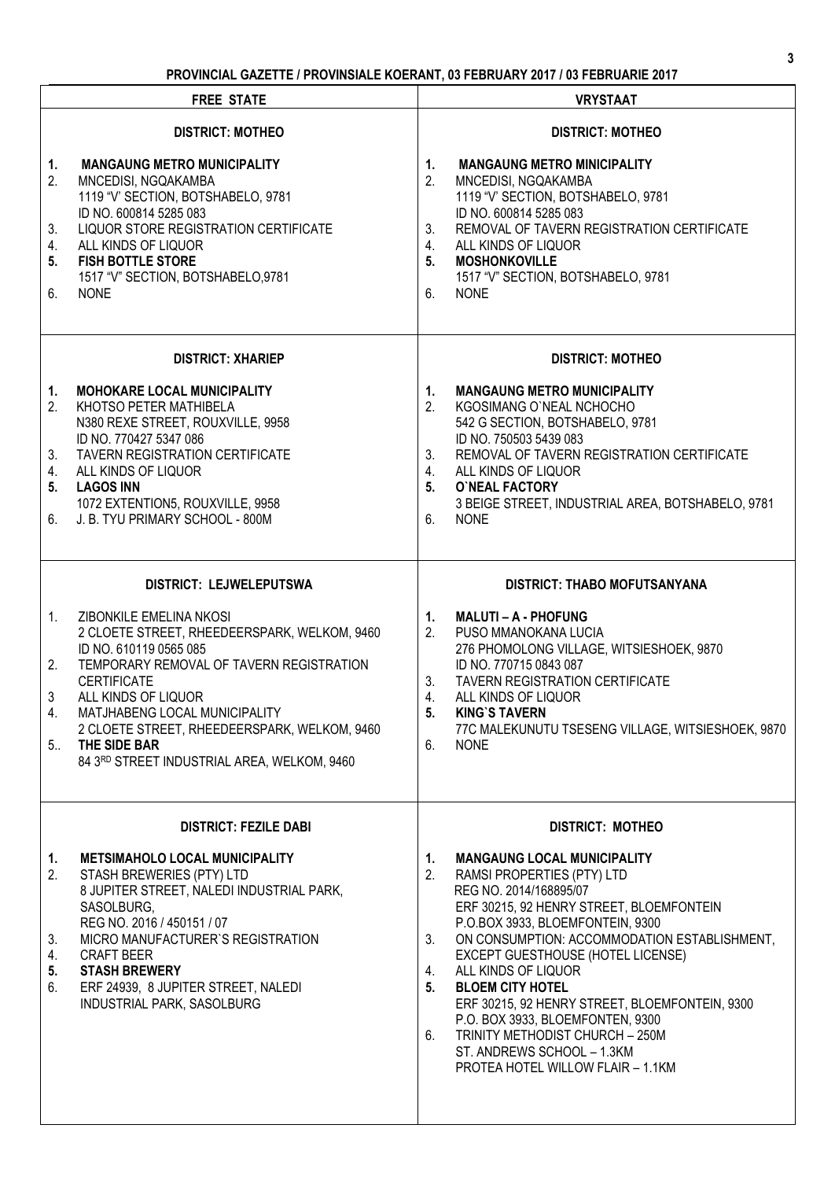# **PROVINCIAL GAZETTE / PROVINSIALE KOERANT, 03 FEBRUARY 2017 / 03 FEBRUARIE 2017**

|                                       | <b>FREE STATE</b>                                                                                                                                                                                                                                                                                                                          | <b>VRYSTAAT</b>                                                                                                                                                                                                                                                                                                                                                                                                                                                                                                                                   |
|---------------------------------------|--------------------------------------------------------------------------------------------------------------------------------------------------------------------------------------------------------------------------------------------------------------------------------------------------------------------------------------------|---------------------------------------------------------------------------------------------------------------------------------------------------------------------------------------------------------------------------------------------------------------------------------------------------------------------------------------------------------------------------------------------------------------------------------------------------------------------------------------------------------------------------------------------------|
|                                       | <b>DISTRICT: MOTHEO</b>                                                                                                                                                                                                                                                                                                                    | <b>DISTRICT: MOTHEO</b>                                                                                                                                                                                                                                                                                                                                                                                                                                                                                                                           |
| 1.<br>2.<br>3.<br>4.<br>5.<br>6.      | <b>MANGAUNG METRO MUNICIPALITY</b><br>MNCEDISI, NGQAKAMBA<br>1119 "V" SECTION, BOTSHABELO, 9781<br>ID NO. 600814 5285 083<br>LIQUOR STORE REGISTRATION CERTIFICATE<br>ALL KINDS OF LIQUOR<br><b>FISH BOTTLE STORE</b><br>1517 "V" SECTION, BOTSHABELO, 9781<br><b>NONE</b>                                                                 | <b>MANGAUNG METRO MINICIPALITY</b><br>1.<br>2.<br>MNCEDISI, NGQAKAMBA<br>1119 "V' SECTION, BOTSHABELO, 9781<br>ID NO. 600814 5285 083<br>REMOVAL OF TAVERN REGISTRATION CERTIFICATE<br>3.<br>4.<br>ALL KINDS OF LIQUOR<br>5 <sub>1</sub><br><b>MOSHONKOVILLE</b><br>1517 "V" SECTION, BOTSHABELO, 9781<br>6.<br><b>NONE</b>                                                                                                                                                                                                                       |
|                                       | <b>DISTRICT: XHARIEP</b>                                                                                                                                                                                                                                                                                                                   | <b>DISTRICT: MOTHEO</b>                                                                                                                                                                                                                                                                                                                                                                                                                                                                                                                           |
| 1.<br>2.<br>3.<br>4.<br>5.<br>6.      | <b>MOHOKARE LOCAL MUNICIPALITY</b><br>KHOTSO PETER MATHIBELA<br>N380 REXE STREET, ROUXVILLE, 9958<br>ID NO. 770427 5347 086<br>TAVERN REGISTRATION CERTIFICATE<br>ALL KINDS OF LIQUOR<br><b>LAGOS INN</b><br>1072 EXTENTION5, ROUXVILLE, 9958<br>J. B. TYU PRIMARY SCHOOL - 800M                                                           | <b>MANGAUNG METRO MUNICIPALITY</b><br>1.<br>2.<br>KGOSIMANG O'NEAL NCHOCHO<br>542 G SECTION, BOTSHABELO, 9781<br>ID NO. 750503 5439 083<br>REMOVAL OF TAVERN REGISTRATION CERTIFICATE<br>3.<br>4.<br>ALL KINDS OF LIQUOR<br>5 <sub>1</sub><br><b>O'NEAL FACTORY</b><br>3 BEIGE STREET, INDUSTRIAL AREA, BOTSHABELO, 9781<br>6.<br><b>NONE</b>                                                                                                                                                                                                     |
|                                       | DISTRICT: LEJWELEPUTSWA                                                                                                                                                                                                                                                                                                                    | <b>DISTRICT: THABO MOFUTSANYANA</b>                                                                                                                                                                                                                                                                                                                                                                                                                                                                                                               |
| 1.<br>2.<br>3<br>4.<br>5 <sub>1</sub> | ZIBONKILE EMELINA NKOSI<br>2 CLOETE STREET, RHEEDEERSPARK, WELKOM, 9460<br>ID NO. 610119 0565 085<br>TEMPORARY REMOVAL OF TAVERN REGISTRATION<br><b>CERTIFICATE</b><br>ALL KINDS OF LIQUOR<br>MATJHABENG LOCAL MUNICIPALITY<br>2 CLOETE STREET, RHEEDEERSPARK, WELKOM, 9460<br>THE SIDE BAR<br>84 3RD STREET INDUSTRIAL AREA, WELKOM, 9460 | <b>MALUTI - A - PHOFUNG</b><br>1.<br>2.<br>PUSO MMANOKANA LUCIA<br>276 PHOMOLONG VILLAGE, WITSIESHOEK, 9870<br>ID NO. 770715 0843 087<br><b>TAVERN REGISTRATION CERTIFICATE</b><br>3.<br>4.<br>ALL KINDS OF LIQUOR<br>5.<br><b>KING'S TAVERN</b><br>77C MALEKUNUTU TSESENG VILLAGE, WITSIESHOEK, 9870<br><b>NONE</b><br>6.                                                                                                                                                                                                                        |
|                                       | <b>DISTRICT: FEZILE DABI</b>                                                                                                                                                                                                                                                                                                               | <b>DISTRICT: MOTHEO</b>                                                                                                                                                                                                                                                                                                                                                                                                                                                                                                                           |
| 1.<br>2.<br>3.<br>4.<br>5.<br>6.      | <b>METSIMAHOLO LOCAL MUNICIPALITY</b><br>STASH BREWERIES (PTY) LTD<br>8 JUPITER STREET, NALEDI INDUSTRIAL PARK,<br>SASOLBURG,<br>REG NO. 2016 / 450151 / 07<br>MICRO MANUFACTURER'S REGISTRATION<br><b>CRAFT BEER</b><br><b>STASH BREWERY</b><br>ERF 24939, 8 JUPITER STREET, NALEDI<br>INDUSTRIAL PARK, SASOLBURG                         | <b>MANGAUNG LOCAL MUNICIPALITY</b><br>1.<br>2.<br>RAMSI PROPERTIES (PTY) LTD<br>REG NO. 2014/168895/07<br>ERF 30215, 92 HENRY STREET, BLOEMFONTEIN<br>P.O.BOX 3933, BLOEMFONTEIN, 9300<br>ON CONSUMPTION: ACCOMMODATION ESTABLISHMENT,<br>3.<br>EXCEPT GUESTHOUSE (HOTEL LICENSE)<br>ALL KINDS OF LIQUOR<br>4.<br><b>BLOEM CITY HOTEL</b><br>5.<br>ERF 30215, 92 HENRY STREET, BLOEMFONTEIN, 9300<br>P.O. BOX 3933, BLOEMFONTEN, 9300<br>TRINITY METHODIST CHURCH - 250M<br>6.<br>ST. ANDREWS SCHOOL - 1.3KM<br>PROTEA HOTEL WILLOW FLAIR - 1.1KM |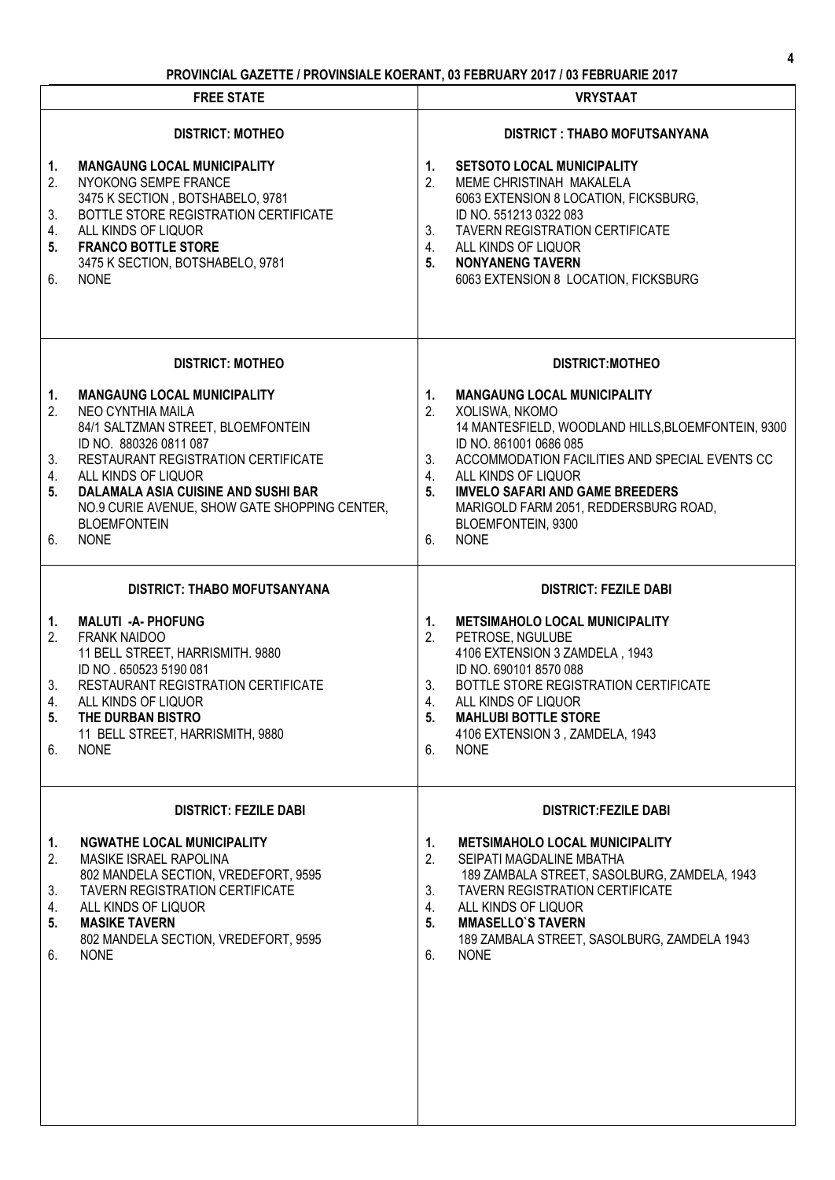# **PROVINCIAL GAZETTE / PROVINSIALE KOERANT, 03 FEBRUARY 2017 / 03 FEBRUARIE 2017**

| <b>FREE STATE</b>                                                                                                                                                                                                                                                                                                                                       | <b>VRYSTAAT</b>                                                                                                                                                                                                                                                                                                                                                                       |
|---------------------------------------------------------------------------------------------------------------------------------------------------------------------------------------------------------------------------------------------------------------------------------------------------------------------------------------------------------|---------------------------------------------------------------------------------------------------------------------------------------------------------------------------------------------------------------------------------------------------------------------------------------------------------------------------------------------------------------------------------------|
| <b>DISTRICT: MOTHEO</b>                                                                                                                                                                                                                                                                                                                                 | <b>DISTRICT : THABO MOFUTSANYANA</b>                                                                                                                                                                                                                                                                                                                                                  |
| <b>MANGAUNG LOCAL MUNICIPALITY</b><br>1.<br>2.<br>NYOKONG SEMPE FRANCE<br>3475 K SECTION, BOTSHABELO, 9781<br>BOTTLE STORE REGISTRATION CERTIFICATE<br>3.<br>4.<br>ALL KINDS OF LIQUOR<br>5.<br><b>FRANCO BOTTLE STORE</b><br>3475 K SECTION, BOTSHABELO, 9781<br>6.<br><b>NONE</b>                                                                     | <b>SETSOTO LOCAL MUNICIPALITY</b><br>1.<br>2.<br>MEME CHRISTINAH MAKALELA<br>6063 EXTENSION 8 LOCATION, FICKSBURG,<br>ID NO. 551213 0322 083<br><b>TAVERN REGISTRATION CERTIFICATE</b><br>$3_{\cdot}$<br>ALL KINDS OF LIQUOR<br>4.<br>5 <sub>1</sub><br><b>NONYANENG TAVERN</b><br>6063 EXTENSION 8 LOCATION, FICKSBURG                                                               |
| <b>DISTRICT: MOTHEO</b>                                                                                                                                                                                                                                                                                                                                 | <b>DISTRICT:MOTHEO</b>                                                                                                                                                                                                                                                                                                                                                                |
| <b>MANGAUNG LOCAL MUNICIPALITY</b><br>1.<br>2.<br>NEO CYNTHIA MAILA<br>84/1 SALTZMAN STREET, BLOEMFONTEIN<br>ID NO. 880326 0811 087<br>RESTAURANT REGISTRATION CERTIFICATE<br>3.<br>4.<br>ALL KINDS OF LIQUOR<br>5.<br>DALAMALA ASIA CUISINE AND SUSHI BAR<br>NO.9 CURIE AVENUE, SHOW GATE SHOPPING CENTER,<br><b>BLOEMFONTEIN</b><br><b>NONE</b><br>6. | <b>MANGAUNG LOCAL MUNICIPALITY</b><br>1.<br>2.<br>XOLISWA, NKOMO<br>14 MANTESFIELD, WOODLAND HILLS, BLOEMFONTEIN, 9300<br>ID NO. 861001 0686 085<br>3.<br>ACCOMMODATION FACILITIES AND SPECIAL EVENTS CC<br>ALL KINDS OF LIQUOR<br>4.<br>5 <sub>1</sub><br><b>IMVELO SAFARI AND GAME BREEDERS</b><br>MARIGOLD FARM 2051, REDDERSBURG ROAD,<br>BLOEMFONTEIN, 9300<br>6.<br><b>NONE</b> |
| <b>DISTRICT: THABO MOFUTSANYANA</b>                                                                                                                                                                                                                                                                                                                     | <b>DISTRICT: FEZILE DABI</b>                                                                                                                                                                                                                                                                                                                                                          |
| <b>MALUTI - A- PHOFUNG</b><br>1.<br>2.<br><b>FRANK NAIDOO</b><br>11 BELL STREET, HARRISMITH. 9880<br>ID NO . 650523 5190 081<br>3.<br>RESTAURANT REGISTRATION CERTIFICATE<br>4.<br>ALL KINDS OF LIQUOR<br>THE DURBAN BISTRO<br>5.<br>11 BELL STREET, HARRISMITH, 9880<br>6.<br><b>NONE</b>                                                              | <b>METSIMAHOLO LOCAL MUNICIPALITY</b><br>1.<br>PETROSE, NGULUBE<br>2.<br>4106 EXTENSION 3 ZAMDELA, 1943<br>ID NO. 690101 8570 088<br>BOTTLE STORE REGISTRATION CERTIFICATE<br>3.<br>$\overline{4}$ .<br>ALL KINDS OF LIQUOR<br><b>MAHLUBI BOTTLE STORE</b><br>5.<br>4106 EXTENSION 3, ZAMDELA, 1943<br>6.<br><b>NONE</b>                                                              |
| <b>DISTRICT: FEZILE DABI</b>                                                                                                                                                                                                                                                                                                                            | <b>DISTRICT:FEZILE DABI</b>                                                                                                                                                                                                                                                                                                                                                           |
| <b>NGWATHE LOCAL MUNICIPALITY</b><br>1.<br>2.<br><b>MASIKE ISRAEL RAPOLINA</b><br>802 MANDELA SECTION, VREDEFORT, 9595<br><b>TAVERN REGISTRATION CERTIFICATE</b><br>3.<br>ALL KINDS OF LIQUOR<br>4.<br><b>MASIKE TAVERN</b><br>5.<br>802 MANDELA SECTION, VREDEFORT, 9595<br>6.<br><b>NONE</b>                                                          | <b>METSIMAHOLO LOCAL MUNICIPALITY</b><br>1.<br>2.<br>SEIPATI MAGDALINE MBATHA<br>189 ZAMBALA STREET, SASOLBURG, ZAMDELA, 1943<br><b>TAVERN REGISTRATION CERTIFICATE</b><br>3.<br>4.<br>ALL KINDS OF LIQUOR<br>5.<br><b>MMASELLO'S TAVERN</b><br>189 ZAMBALA STREET, SASOLBURG, ZAMDELA 1943<br>6.<br><b>NONE</b>                                                                      |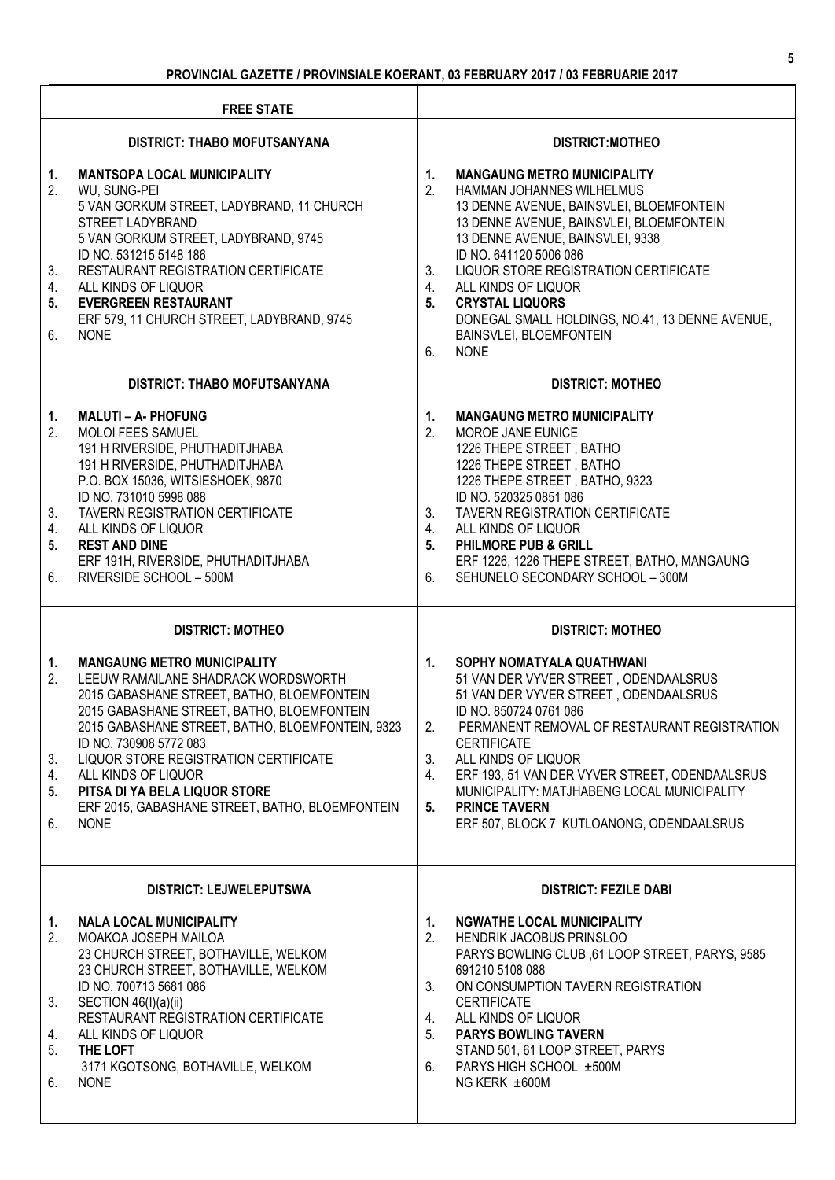| <b>FREE STATE</b>                   |                                                                                                                                                                                                                                                                                                                                                                                                                        |                                                                                                                                                                                                                                                                                                                                                                                                                                                  |  |
|-------------------------------------|------------------------------------------------------------------------------------------------------------------------------------------------------------------------------------------------------------------------------------------------------------------------------------------------------------------------------------------------------------------------------------------------------------------------|--------------------------------------------------------------------------------------------------------------------------------------------------------------------------------------------------------------------------------------------------------------------------------------------------------------------------------------------------------------------------------------------------------------------------------------------------|--|
| <b>DISTRICT: THABO MOFUTSANYANA</b> |                                                                                                                                                                                                                                                                                                                                                                                                                        | <b>DISTRICT:MOTHEO</b>                                                                                                                                                                                                                                                                                                                                                                                                                           |  |
| 1.<br>2.<br>3.<br>4.<br>5.<br>6.    | <b>MANTSOPA LOCAL MUNICIPALITY</b><br>WU, SUNG-PEI<br>5 VAN GORKUM STREET, LADYBRAND, 11 CHURCH<br>STREET LADYBRAND<br>5 VAN GORKUM STREET, LADYBRAND, 9745<br>ID NO. 531215 5148 186<br>RESTAURANT REGISTRATION CERTIFICATE<br>ALL KINDS OF LIQUOR<br><b>EVERGREEN RESTAURANT</b><br>ERF 579, 11 CHURCH STREET, LADYBRAND, 9745<br><b>NONE</b>                                                                        | 1.<br><b>MANGAUNG METRO MUNICIPALITY</b><br>2.<br>HAMMAN JOHANNES WILHELMUS<br>13 DENNE AVENUE, BAINSVLEI, BLOEMFONTEIN<br>13 DENNE AVENUE, BAINSVLEI, BLOEMFONTEIN<br>13 DENNE AVENUE, BAINSVLEI, 9338<br>ID NO. 641120 5006 086<br>3.<br>LIQUOR STORE REGISTRATION CERTIFICATE<br>4.<br>ALL KINDS OF LIQUOR<br>5.<br><b>CRYSTAL LIQUORS</b><br>DONEGAL SMALL HOLDINGS, NO.41, 13 DENNE AVENUE,<br>BAINSVLEI, BLOEMFONTEIN<br><b>NONE</b><br>6. |  |
|                                     | <b>DISTRICT: THABO MOFUTSANYANA</b>                                                                                                                                                                                                                                                                                                                                                                                    | <b>DISTRICT: MOTHEO</b>                                                                                                                                                                                                                                                                                                                                                                                                                          |  |
| 1.<br>2.<br>3.<br>4.<br>5.<br>6.    | <b>MALUTI - A- PHOFUNG</b><br>MOLOI FEES SAMUEL<br>191 H RIVERSIDE, PHUTHADITJHABA<br>191 H RIVERSIDE, PHUTHADITJHABA<br>P.O. BOX 15036, WITSIESHOEK, 9870<br>ID NO. 731010 5998 088<br><b>TAVERN REGISTRATION CERTIFICATE</b><br>ALL KINDS OF LIQUOR<br><b>REST AND DINE</b><br>ERF 191H, RIVERSIDE, PHUTHADITJHABA<br>RIVERSIDE SCHOOL - 500M                                                                        | <b>MANGAUNG METRO MUNICIPALITY</b><br>1.<br>2.<br>MOROE JANE EUNICE<br>1226 THEPE STREET, BATHO<br>1226 THEPE STREET, BATHO<br>1226 THEPE STREET, BATHO, 9323<br>ID NO. 520325 0851 086<br>3.<br><b>TAVERN REGISTRATION CERTIFICATE</b><br>4.<br>ALL KINDS OF LIQUOR<br>5.<br><b>PHILMORE PUB &amp; GRILL</b><br>ERF 1226, 1226 THEPE STREET, BATHO, MANGAUNG<br>SEHUNELO SECONDARY SCHOOL - 300M<br>6.                                          |  |
|                                     | <b>DISTRICT: MOTHEO</b>                                                                                                                                                                                                                                                                                                                                                                                                | <b>DISTRICT: MOTHEO</b>                                                                                                                                                                                                                                                                                                                                                                                                                          |  |
| 1.<br>2.<br>3.<br>4.<br>5.<br>6.    | <b>MANGAUNG METRO MUNICIPALITY</b><br>LEEUW RAMAILANE SHADRACK WORDSWORTH<br>2015 GABASHANE STREET, BATHO, BLOEMFONTEIN<br>2015 GABASHANE STREET, BATHO, BLOEMFONTEIN<br>2015 GABASHANE STREET, BATHO, BLOEMFONTEIN, 9323<br>ID NO. 730908 5772 083<br>LIQUOR STORE REGISTRATION CERTIFICATE<br>ALL KINDS OF LIQUOR<br>PITSA DI YA BELA LIQUOR STORE<br>ERF 2015, GABASHANE STREET, BATHO, BLOEMFONTEIN<br><b>NONE</b> | 1.<br>SOPHY NOMATYALA QUATHWANI<br>51 VAN DER VYVER STREET, ODENDAALSRUS<br>51 VAN DER VYVER STREET, ODENDAALSRUS<br>ID NO. 850724 0761 086<br>PERMANENT REMOVAL OF RESTAURANT REGISTRATION<br>2.<br><b>CERTIFICATE</b><br>3.<br>ALL KINDS OF LIQUOR<br>ERF 193, 51 VAN DER VYVER STREET, ODENDAALSRUS<br>4.<br>MUNICIPALITY: MATJHABENG LOCAL MUNICIPALITY<br><b>PRINCE TAVERN</b><br>5.<br>ERF 507, BLOCK 7 KUTLOANONG, ODENDAALSRUS           |  |
| <b>DISTRICT: LEJWELEPUTSWA</b>      |                                                                                                                                                                                                                                                                                                                                                                                                                        | <b>DISTRICT: FEZILE DABI</b>                                                                                                                                                                                                                                                                                                                                                                                                                     |  |
| 1.<br>2.<br>3.<br>4.<br>5.<br>6.    | <b>NALA LOCAL MUNICIPALITY</b><br>MOAKOA JOSEPH MAILOA<br>23 CHURCH STREET, BOTHAVILLE, WELKOM<br>23 CHURCH STREET, BOTHAVILLE, WELKOM<br>ID NO. 700713 5681 086<br>SECTION 46(I)(a)(ii)<br>RESTAURANT REGISTRATION CERTIFICATE<br>ALL KINDS OF LIQUOR<br>THE LOFT<br>3171 KGOTSONG, BOTHAVILLE, WELKOM<br><b>NONE</b>                                                                                                 | <b>NGWATHE LOCAL MUNICIPALITY</b><br>1.<br>HENDRIK JACOBUS PRINSLOO<br>2.<br>PARYS BOWLING CLUB, 61 LOOP STREET, PARYS, 9585<br>691210 5108 088<br>3.<br>ON CONSUMPTION TAVERN REGISTRATION<br><b>CERTIFICATE</b><br>ALL KINDS OF LIQUOR<br>4.<br><b>PARYS BOWLING TAVERN</b><br>5.<br>STAND 501, 61 LOOP STREET, PARYS<br>PARYS HIGH SCHOOL ±500M<br>6.<br>NG KERK ±600M                                                                        |  |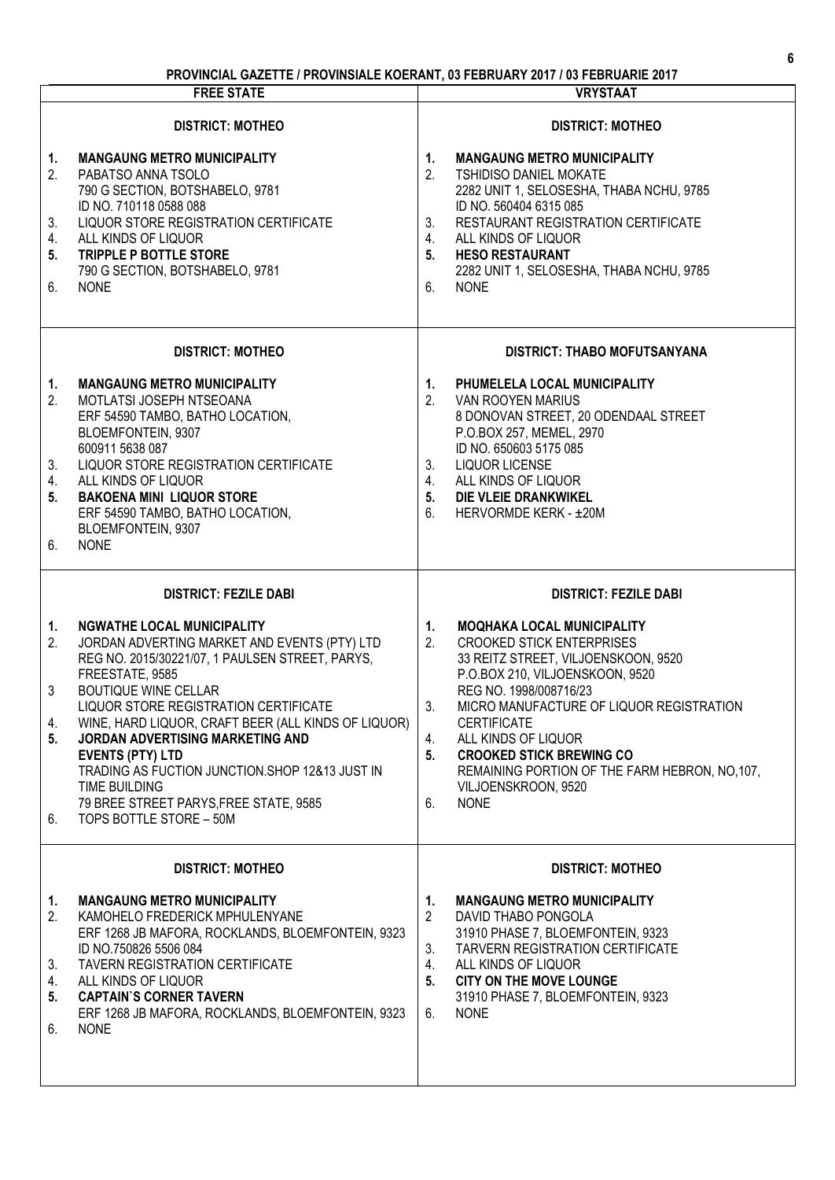# **PROVINCIAL GAZETTE / PROVINSIALE KOERANT, 03 FEBRUARY 2017 / 03 FEBRUARIE 2017**

|                                  | <b>FREE STATE</b>                                                                                                                                                                                                                                                                                                                                                                                                                                                                             | <b>VRYSTAAT</b>                                                                                                                                                                                                                                                                                                                                                                                                                   |
|----------------------------------|-----------------------------------------------------------------------------------------------------------------------------------------------------------------------------------------------------------------------------------------------------------------------------------------------------------------------------------------------------------------------------------------------------------------------------------------------------------------------------------------------|-----------------------------------------------------------------------------------------------------------------------------------------------------------------------------------------------------------------------------------------------------------------------------------------------------------------------------------------------------------------------------------------------------------------------------------|
| 1.<br>2.<br>3.<br>4.<br>5.<br>6. | <b>DISTRICT: MOTHEO</b><br><b>MANGAUNG METRO MUNICIPALITY</b><br>PABATSO ANNA TSOLO<br>790 G SECTION, BOTSHABELO, 9781<br>ID NO. 710118 0588 088<br>LIQUOR STORE REGISTRATION CERTIFICATE<br>ALL KINDS OF LIQUOR<br>TRIPPLE P BOTTLE STORE<br>790 G SECTION, BOTSHABELO, 9781<br><b>NONE</b>                                                                                                                                                                                                  | <b>DISTRICT: MOTHEO</b><br><b>MANGAUNG METRO MUNICIPALITY</b><br>1 <sup>1</sup><br>2.<br><b>TSHIDISO DANIEL MOKATE</b><br>2282 UNIT 1, SELOSESHA, THABA NCHU, 9785<br>ID NO. 560404 6315 085<br>3.<br>RESTAURANT REGISTRATION CERTIFICATE<br>ALL KINDS OF LIQUOR<br>4.<br>5.<br><b>HESO RESTAURANT</b><br>2282 UNIT 1, SELOSESHA, THABA NCHU, 9785<br>6.<br><b>NONE</b>                                                           |
|                                  | <b>DISTRICT: MOTHEO</b>                                                                                                                                                                                                                                                                                                                                                                                                                                                                       | DISTRICT: THABO MOFUTSANYANA                                                                                                                                                                                                                                                                                                                                                                                                      |
| 1.<br>2.<br>3.<br>4.<br>5.<br>6. | <b>MANGAUNG METRO MUNICIPALITY</b><br>MOTLATSI JOSEPH NTSEOANA<br>ERF 54590 TAMBO, BATHO LOCATION,<br>BLOEMFONTEIN, 9307<br>600911 5638 087<br>LIQUOR STORE REGISTRATION CERTIFICATE<br>ALL KINDS OF LIQUOR<br><b>BAKOENA MINI LIQUOR STORE</b><br>ERF 54590 TAMBO, BATHO LOCATION,<br>BLOEMFONTEIN, 9307<br><b>NONE</b>                                                                                                                                                                      | PHUMELELA LOCAL MUNICIPALITY<br>1.<br>2.<br>VAN ROOYEN MARIUS<br>8 DONOVAN STREET, 20 ODENDAAL STREET<br>P.O.BOX 257, MEMEL, 2970<br>ID NO. 650603 5175 085<br>3.<br><b>LIQUOR LICENSE</b><br>ALL KINDS OF LIQUOR<br>4.<br>5.<br>DIE VLEIE DRANKWIKEL<br>6.<br>HERVORMDE KERK - ±20M                                                                                                                                              |
|                                  | <b>DISTRICT: FEZILE DABI</b>                                                                                                                                                                                                                                                                                                                                                                                                                                                                  | <b>DISTRICT: FEZILE DABI</b>                                                                                                                                                                                                                                                                                                                                                                                                      |
| 1.<br>2.<br>3<br>4.<br>5.<br>6.  | <b>NGWATHE LOCAL MUNICIPALITY</b><br>JORDAN ADVERTING MARKET AND EVENTS (PTY) LTD<br>REG NO. 2015/30221/07, 1 PAULSEN STREET, PARYS,<br>FREESTATE, 9585<br><b>BOUTIQUE WINE CELLAR</b><br>LIQUOR STORE REGISTRATION CERTIFICATE<br>WINE, HARD LIQUOR, CRAFT BEER (ALL KINDS OF LIQUOR)<br>JORDAN ADVERTISING MARKETING AND<br><b>EVENTS (PTY) LTD</b><br>TRADING AS FUCTION JUNCTION.SHOP 12&13 JUST IN<br>TIME BUILDING<br>79 BREE STREET PARYS, FREE STATE, 9585<br>TOPS BOTTLE STORE - 50M | 1.<br><b>MOQHAKA LOCAL MUNICIPALITY</b><br>2.<br><b>CROOKED STICK ENTERPRISES</b><br>33 REITZ STREET, VILJOENSKOON, 9520<br>P.O.BOX 210, VILJOENSKOON, 9520<br>REG NO. 1998/008716/23<br>3.<br>MICRO MANUFACTURE OF LIQUOR REGISTRATION<br><b>CERTIFICATE</b><br>ALL KINDS OF LIQUOR<br>4.<br>5.<br><b>CROOKED STICK BREWING CO</b><br>REMAINING PORTION OF THE FARM HEBRON, NO, 107,<br>VILJOENSKROON, 9520<br><b>NONE</b><br>6. |
|                                  | <b>DISTRICT: MOTHEO</b>                                                                                                                                                                                                                                                                                                                                                                                                                                                                       | <b>DISTRICT: MOTHEO</b>                                                                                                                                                                                                                                                                                                                                                                                                           |
| 1.<br>2.<br>3.<br>4.<br>5.<br>6. | <b>MANGAUNG METRO MUNICIPALITY</b><br>KAMOHELO FREDERICK MPHULENYANE<br>ERF 1268 JB MAFORA, ROCKLANDS, BLOEMFONTEIN, 9323<br>ID NO.750826 5506 084<br>TAVERN REGISTRATION CERTIFICATE<br>ALL KINDS OF LIQUOR<br><b>CAPTAIN'S CORNER TAVERN</b><br>ERF 1268 JB MAFORA, ROCKLANDS, BLOEMFONTEIN, 9323<br><b>NONE</b>                                                                                                                                                                            | <b>MANGAUNG METRO MUNICIPALITY</b><br>1.<br>2<br>DAVID THABO PONGOLA<br>31910 PHASE 7, BLOEMFONTEIN, 9323<br>TARVERN REGISTRATION CERTIFICATE<br>3.<br>4.<br>ALL KINDS OF LIQUOR<br><b>CITY ON THE MOVE LOUNGE</b><br>5.<br>31910 PHASE 7, BLOEMFONTEIN, 9323<br><b>NONE</b><br>6.                                                                                                                                                |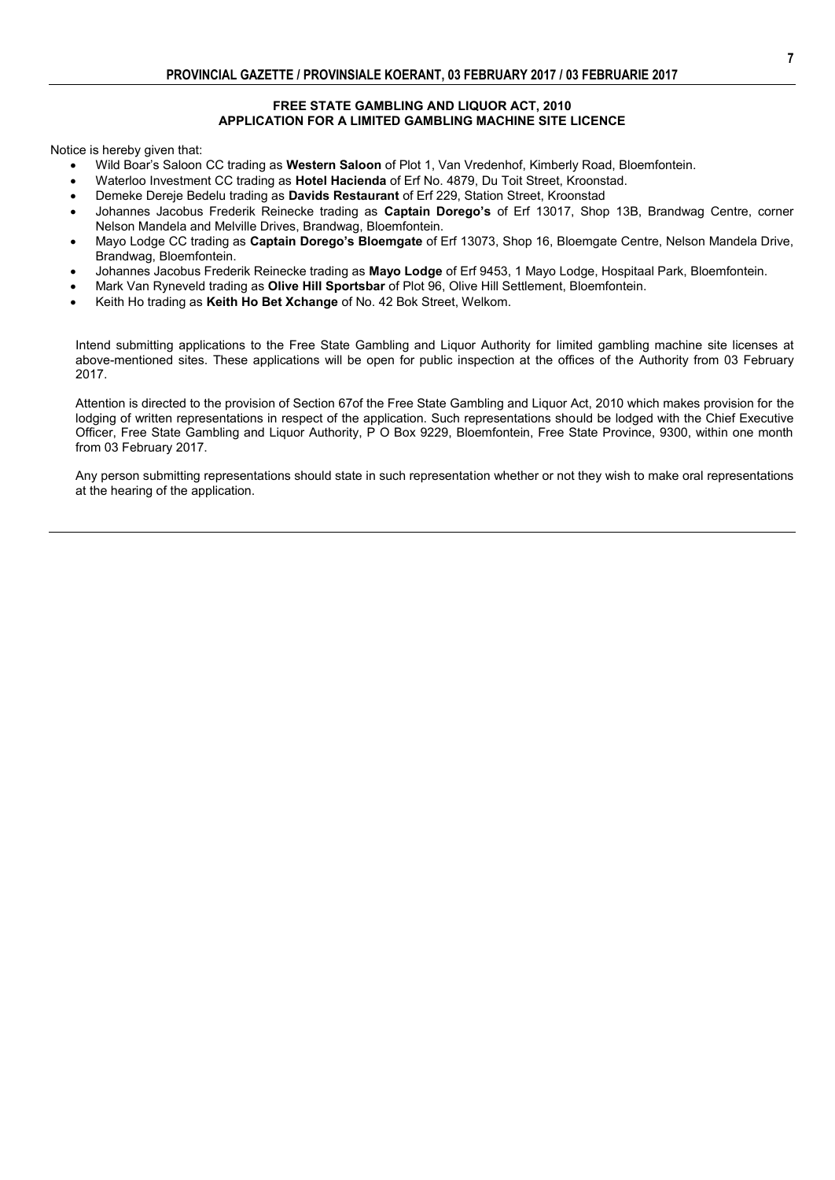### **FREE STATE GAMBLING AND LIQUOR ACT, 2010 APPLICATION FOR A LIMITED GAMBLING MACHINE SITE LICENCE**

Notice is hereby given that:

- Wild Boar's Saloon CC trading as **Western Saloon** of Plot 1, Van Vredenhof, Kimberly Road, Bloemfontein.
- Waterloo Investment CC trading as **Hotel Hacienda** of Erf No. 4879, Du Toit Street, Kroonstad.
- Demeke Dereje Bedelu trading as **Davids Restaurant** of Erf 229, Station Street, Kroonstad
- Johannes Jacobus Frederik Reinecke trading as **Captain Dorego's** of Erf 13017, Shop 13B, Brandwag Centre, corner Nelson Mandela and Melville Drives, Brandwag, Bloemfontein.
- Mayo Lodge CC trading as **Captain Dorego's Bloemgate** of Erf 13073, Shop 16, Bloemgate Centre, Nelson Mandela Drive, Brandwag, Bloemfontein.
- Johannes Jacobus Frederik Reinecke trading as **Mayo Lodge** of Erf 9453, 1 Mayo Lodge, Hospitaal Park, Bloemfontein.
- Mark Van Ryneveld trading as **Olive Hill Sportsbar** of Plot 96, Olive Hill Settlement, Bloemfontein.
- Keith Ho trading as **Keith Ho Bet Xchange** of No. 42 Bok Street, Welkom.

Intend submitting applications to the Free State Gambling and Liquor Authority for limited gambling machine site licenses at above-mentioned sites. These applications will be open for public inspection at the offices of the Authority from 03 February 2017.

Attention is directed to the provision of Section 67of the Free State Gambling and Liquor Act, 2010 which makes provision for the lodging of written representations in respect of the application. Such representations should be lodged with the Chief Executive Officer, Free State Gambling and Liquor Authority, P O Box 9229, Bloemfontein, Free State Province, 9300, within one month from 03 February 2017.

Any person submitting representations should state in such representation whether or not they wish to make oral representations at the hearing of the application.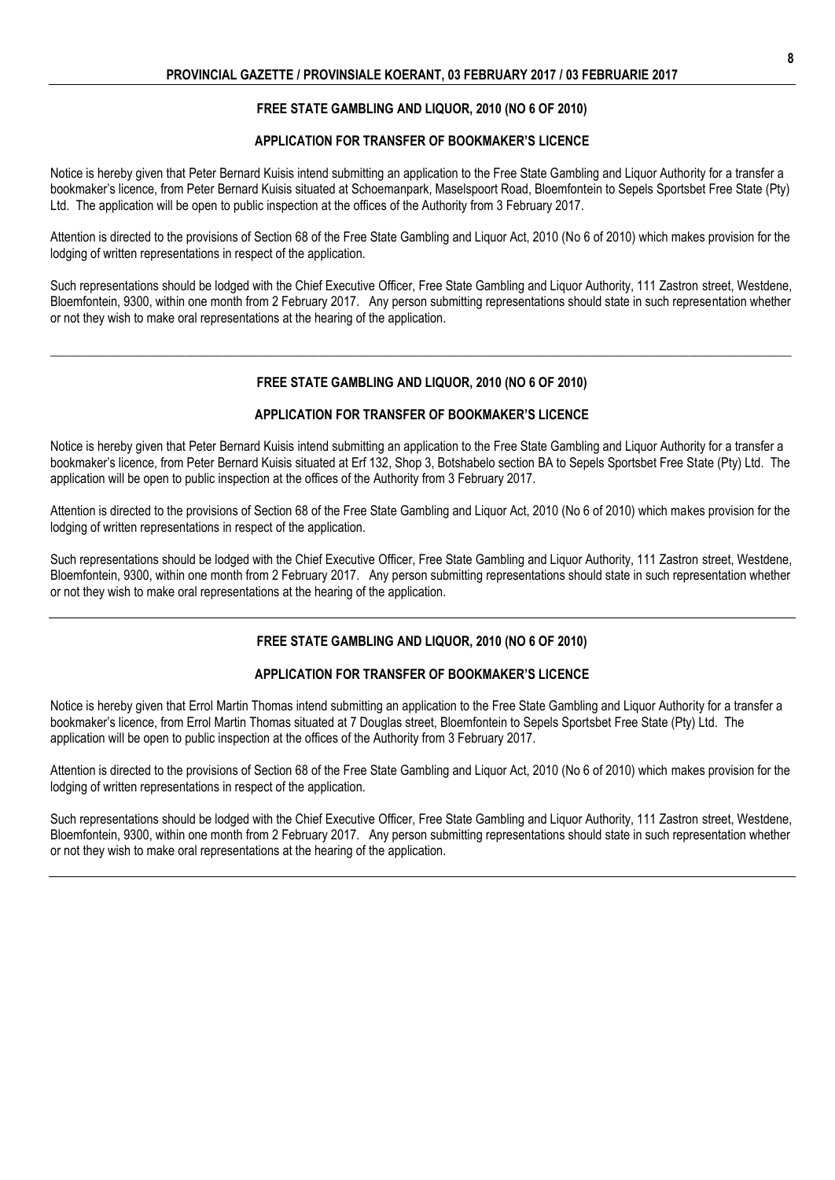## **FREE STATE GAMBLING AND LIQUOR, 2010 (NO 6 OF 2010)**

### **APPLICATION FOR TRANSFER OF BOOKMAKER'S LICENCE**

Notice is hereby given that Peter Bernard Kuisis intend submitting an application to the Free State Gambling and Liquor Authority for a transfer a bookmaker's licence, from Peter Bernard Kuisis situated at Schoemanpark, Maselspoort Road, Bloemfontein to Sepels Sportsbet Free State (Pty) Ltd. The application will be open to public inspection at the offices of the Authority from 3 February 2017.

Attention is directed to the provisions of Section 68 of the Free State Gambling and Liquor Act, 2010 (No 6 of 2010) which makes provision for the lodging of written representations in respect of the application.

Such representations should be lodged with the Chief Executive Officer, Free State Gambling and Liquor Authority, 111 Zastron street, Westdene, Bloemfontein, 9300, within one month from 2 February 2017. Any person submitting representations should state in such representation whether or not they wish to make oral representations at the hearing of the application.

### **FREE STATE GAMBLING AND LIQUOR, 2010 (NO 6 OF 2010)**

**\_\_\_\_\_\_\_\_\_\_\_\_\_\_\_\_\_\_\_\_\_\_\_\_\_\_\_\_\_\_\_\_\_\_\_\_\_\_\_\_\_\_\_\_\_\_\_\_\_\_\_\_\_\_\_\_\_\_\_\_\_\_\_\_\_\_\_\_\_\_\_\_\_\_\_\_\_\_\_\_\_\_\_\_\_\_\_\_\_\_\_\_\_\_\_\_\_\_\_\_\_\_\_\_\_\_\_\_\_\_\_\_\_\_\_\_**

### **APPLICATION FOR TRANSFER OF BOOKMAKER'S LICENCE**

Notice is hereby given that Peter Bernard Kuisis intend submitting an application to the Free State Gambling and Liquor Authority for a transfer a bookmaker's licence, from Peter Bernard Kuisis situated at Erf 132, Shop 3, Botshabelo section BA to Sepels Sportsbet Free State (Pty) Ltd. The application will be open to public inspection at the offices of the Authority from 3 February 2017.

Attention is directed to the provisions of Section 68 of the Free State Gambling and Liquor Act, 2010 (No 6 of 2010) which makes provision for the lodging of written representations in respect of the application.

Such representations should be lodged with the Chief Executive Officer, Free State Gambling and Liquor Authority, 111 Zastron street, Westdene, Bloemfontein, 9300, within one month from 2 February 2017. Any person submitting representations should state in such representation whether or not they wish to make oral representations at the hearing of the application.

## **FREE STATE GAMBLING AND LIQUOR, 2010 (NO 6 OF 2010)**

### **APPLICATION FOR TRANSFER OF BOOKMAKER'S LICENCE**

Notice is hereby given that Errol Martin Thomas intend submitting an application to the Free State Gambling and Liquor Authority for a transfer a bookmaker's licence, from Errol Martin Thomas situated at 7 Douglas street, Bloemfontein to Sepels Sportsbet Free State (Pty) Ltd. The application will be open to public inspection at the offices of the Authority from 3 February 2017.

Attention is directed to the provisions of Section 68 of the Free State Gambling and Liquor Act, 2010 (No 6 of 2010) which makes provision for the lodging of written representations in respect of the application.

Such representations should be lodged with the Chief Executive Officer, Free State Gambling and Liquor Authority, 111 Zastron street, Westdene, Bloemfontein, 9300, within one month from 2 February 2017. Any person submitting representations should state in such representation whether or not they wish to make oral representations at the hearing of the application.